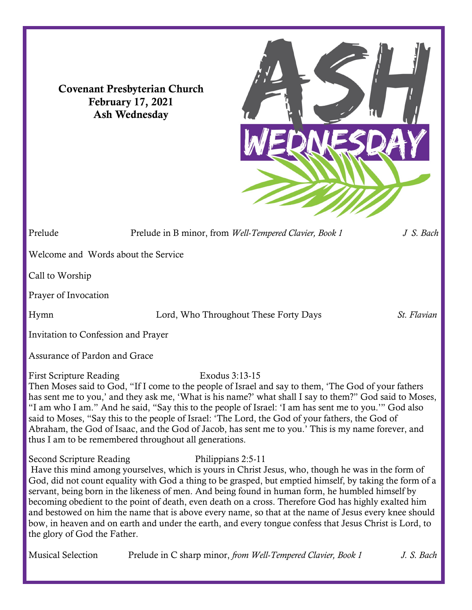Covenant Presbyterian Church February 17, 2021 Ash Wednesday



Prelude Prelude in B minor, from *Well-Tempered Clavier*, *Book 1 J S. Bach* Welcome and Words about the Service Call to Worship Prayer of Invocation Hymn Lord, Who Throughout These Forty Days *St. Flavian* Invitation to Confession and Prayer

Assurance of Pardon and Grace

First Scripture Reading Exodus 3:13-15

Then Moses said to God, "If I come to the people of Israel and say to them, 'The God of your fathers has sent me to you,' and they ask me, 'What is his name?' what shall I say to them?" God said to Moses, "I am who I am." And he said, "Say this to the people of Israel: 'I am has sent me to you.'" God also said to Moses, "Say this to the people of Israel: 'The Lord, the God of your fathers, the God of Abraham, the God of Isaac, and the God of Jacob, has sent me to you.' This is my name forever, and thus I am to be remembered throughout all generations.

Second Scripture Reading Philippians 2:5-11 Have this mind among yourselves, which is yours in Christ Jesus, who, though he was in the form of God, did not count equality with God a thing to be grasped, but emptied himself, by taking the form of a servant, being born in the likeness of men. And being found in human form, he humbled himself by becoming obedient to the point of death, even death on a cross. Therefore God has highly exalted him and bestowed on him the name that is above every name, so that at the name of Jesus every knee should bow, in heaven and on earth and under the earth, and every tongue confess that Jesus Christ is Lord, to the glory of God the Father.

Musical Selection Prelude in C sharp minor, *from Well-Tempered Clavier, Book 1 J. S. Bach*